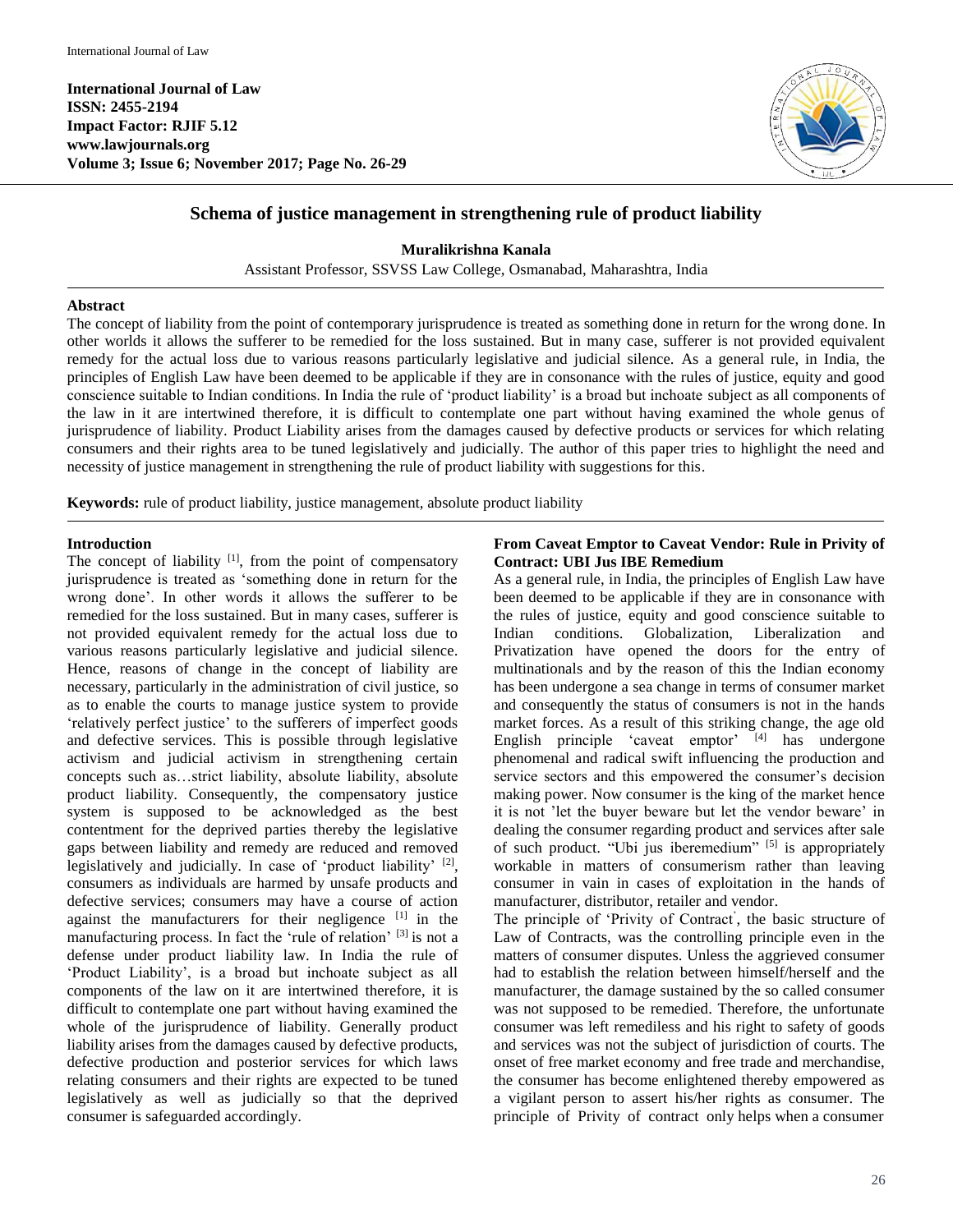**International Journal of Law ISSN: 2455-2194 Impact Factor: RJIF 5.12 www.lawjournals.org Volume 3; Issue 6; November 2017; Page No. 26-29**



## **Schema of justice management in strengthening rule of product liability**

**Muralikrishna Kanala**

Assistant Professor, SSVSS Law College, Osmanabad, Maharashtra, India

#### **Abstract**

The concept of liability from the point of contemporary jurisprudence is treated as something done in return for the wrong done. In other worlds it allows the sufferer to be remedied for the loss sustained. But in many case, sufferer is not provided equivalent remedy for the actual loss due to various reasons particularly legislative and judicial silence. As a general rule, in India, the principles of English Law have been deemed to be applicable if they are in consonance with the rules of justice, equity and good conscience suitable to Indian conditions. In India the rule of 'product liability' is a broad but inchoate subject as all components of the law in it are intertwined therefore, it is difficult to contemplate one part without having examined the whole genus of jurisprudence of liability. Product Liability arises from the damages caused by defective products or services for which relating consumers and their rights area to be tuned legislatively and judicially. The author of this paper tries to highlight the need and necessity of justice management in strengthening the rule of product liability with suggestions for this.

**Keywords:** rule of product liability, justice management, absolute product liability

#### **Introduction**

The concept of liability  $[1]$ , from the point of compensatory jurisprudence is treated as 'something done in return for the wrong done'. In other words it allows the sufferer to be remedied for the loss sustained. But in many cases, sufferer is not provided equivalent remedy for the actual loss due to various reasons particularly legislative and judicial silence. Hence, reasons of change in the concept of liability are necessary, particularly in the administration of civil justice, so as to enable the courts to manage justice system to provide 'relatively perfect justice' to the sufferers of imperfect goods and defective services. This is possible through legislative activism and judicial activism in strengthening certain concepts such as…strict liability, absolute liability, absolute product liability. Consequently, the compensatory justice system is supposed to be acknowledged as the best contentment for the deprived parties thereby the legislative gaps between liability and remedy are reduced and removed legislatively and judicially. In case of 'product liability'  $[2]$ , consumers as individuals are harmed by unsafe products and defective services; consumers may have a course of action against the manufacturers for their negligence [1] in the manufacturing process. In fact the 'rule of relation' [3] is not a defense under product liability law. In India the rule of 'Product Liability', is a broad but inchoate subject as all components of the law on it are intertwined therefore, it is difficult to contemplate one part without having examined the whole of the jurisprudence of liability. Generally product liability arises from the damages caused by defective products, defective production and posterior services for which laws relating consumers and their rights are expected to be tuned legislatively as well as judicially so that the deprived consumer is safeguarded accordingly.

## **From Caveat Emptor to Caveat Vendor: Rule in Privity of Contract: UBI Jus IBE Remedium**

As a general rule, in India, the principles of English Law have been deemed to be applicable if they are in consonance with the rules of justice, equity and good conscience suitable to Indian conditions. Globalization, Liberalization and Privatization have opened the doors for the entry of multinationals and by the reason of this the Indian economy has been undergone a sea change in terms of consumer market and consequently the status of consumers is not in the hands market forces. As a result of this striking change, the age old English principle 'caveat emptor' [4] has undergone phenomenal and radical swift influencing the production and service sectors and this empowered the consumer's decision making power. Now consumer is the king of the market hence it is not 'let the buyer beware but let the vendor beware' in dealing the consumer regarding product and services after sale of such product. "Ubi jus iberemedium" [5] is appropriately workable in matters of consumerism rather than leaving consumer in vain in cases of exploitation in the hands of manufacturer, distributor, retailer and vendor.

The principle of 'Privity of Contract' , the basic structure of Law of Contracts, was the controlling principle even in the matters of consumer disputes. Unless the aggrieved consumer had to establish the relation between himself/herself and the manufacturer, the damage sustained by the so called consumer was not supposed to be remedied. Therefore, the unfortunate consumer was left remediless and his right to safety of goods and services was not the subject of jurisdiction of courts. The onset of free market economy and free trade and merchandise, the consumer has become enlightened thereby empowered as a vigilant person to assert his/her rights as consumer. The principle of Privity of contract only helps when a consumer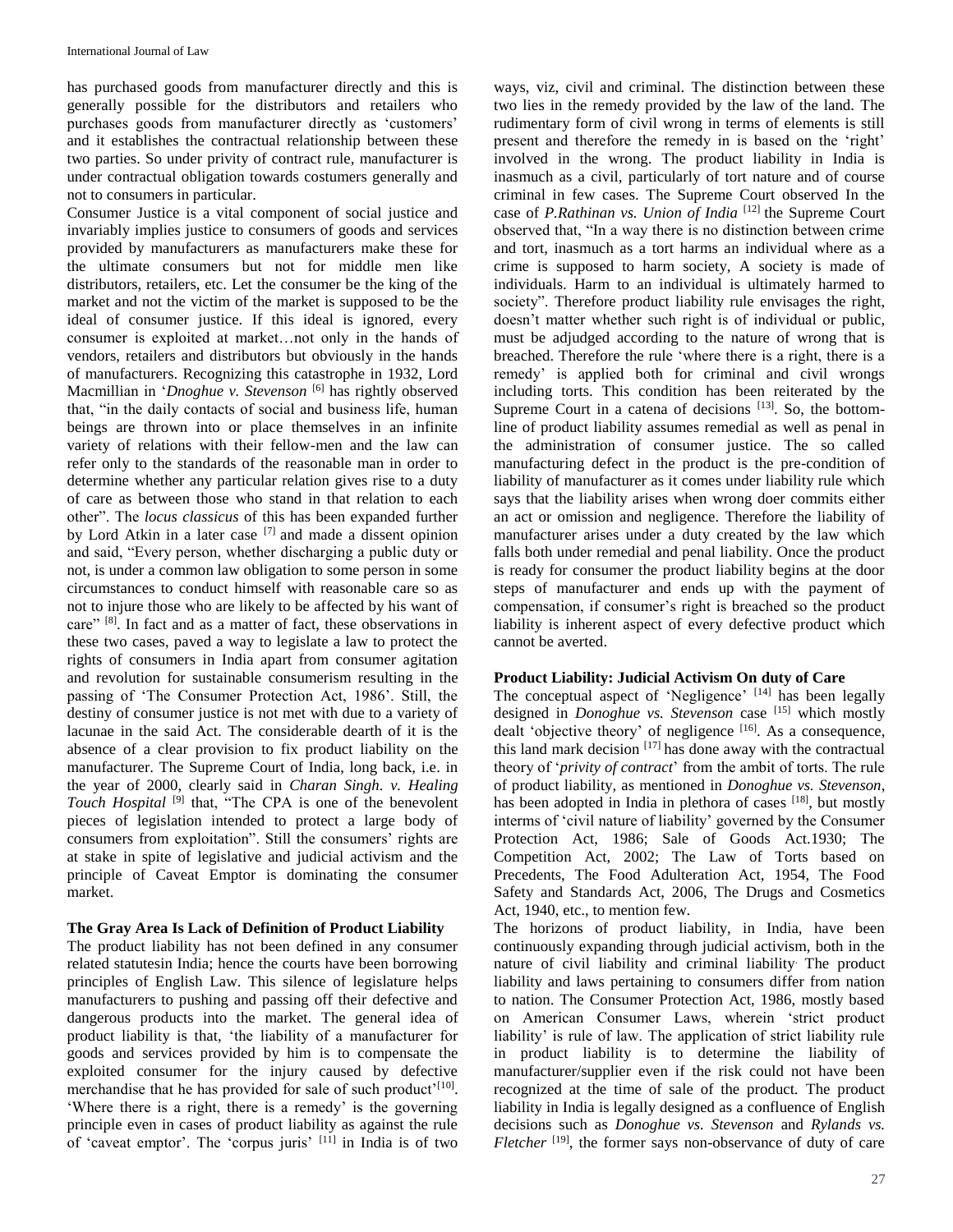has purchased goods from manufacturer directly and this is generally possible for the distributors and retailers who purchases goods from manufacturer directly as 'customers' and it establishes the contractual relationship between these two parties. So under privity of contract rule, manufacturer is under contractual obligation towards costumers generally and not to consumers in particular.

Consumer Justice is a vital component of social justice and invariably implies justice to consumers of goods and services provided by manufacturers as manufacturers make these for the ultimate consumers but not for middle men like distributors, retailers, etc. Let the consumer be the king of the market and not the victim of the market is supposed to be the ideal of consumer justice. If this ideal is ignored, every consumer is exploited at market…not only in the hands of vendors, retailers and distributors but obviously in the hands of manufacturers. Recognizing this catastrophe in 1932, Lord Macmillian in '*Dnoghue v. Stevenson*<sup>[6]</sup> has rightly observed that, "in the daily contacts of social and business life, human beings are thrown into or place themselves in an infinite variety of relations with their fellow-men and the law can refer only to the standards of the reasonable man in order to determine whether any particular relation gives rise to a duty of care as between those who stand in that relation to each other". The *locus classicus* of this has been expanded further by Lord Atkin in a later case [7] and made a dissent opinion and said, "Every person, whether discharging a public duty or not, is under a common law obligation to some person in some circumstances to conduct himself with reasonable care so as not to injure those who are likely to be affected by his want of care" <sup>[8]</sup>. In fact and as a matter of fact, these observations in these two cases, paved a way to legislate a law to protect the rights of consumers in India apart from consumer agitation and revolution for sustainable consumerism resulting in the passing of 'The Consumer Protection Act, 1986'. Still, the destiny of consumer justice is not met with due to a variety of lacunae in the said Act. The considerable dearth of it is the absence of a clear provision to fix product liability on the manufacturer. The Supreme Court of India, long back, i.e. in the year of 2000, clearly said in *Charan Singh. v. Healing*  Touch Hospital<sup>[9]</sup> that, "The CPA is one of the benevolent pieces of legislation intended to protect a large body of consumers from exploitation". Still the consumers' rights are at stake in spite of legislative and judicial activism and the principle of Caveat Emptor is dominating the consumer market.

### **The Gray Area Is Lack of Definition of Product Liability**

The product liability has not been defined in any consumer related statutesin India; hence the courts have been borrowing principles of English Law. This silence of legislature helps manufacturers to pushing and passing off their defective and dangerous products into the market. The general idea of product liability is that, 'the liability of a manufacturer for goods and services provided by him is to compensate the exploited consumer for the injury caused by defective merchandise that he has provided for sale of such product'[10]. 'Where there is a right, there is a remedy' is the governing principle even in cases of product liability as against the rule of 'caveat emptor'. The 'corpus juris' [11] in India is of two

ways, viz, civil and criminal. The distinction between these two lies in the remedy provided by the law of the land. The rudimentary form of civil wrong in terms of elements is still present and therefore the remedy in is based on the 'right' involved in the wrong. The product liability in India is inasmuch as a civil, particularly of tort nature and of course criminal in few cases. The Supreme Court observed In the case of *P.Rathinan vs. Union of India* [12] the Supreme Court observed that, "In a way there is no distinction between crime and tort, inasmuch as a tort harms an individual where as a crime is supposed to harm society, A society is made of individuals. Harm to an individual is ultimately harmed to society". Therefore product liability rule envisages the right, doesn't matter whether such right is of individual or public, must be adjudged according to the nature of wrong that is breached. Therefore the rule 'where there is a right, there is a remedy' is applied both for criminal and civil wrongs including torts. This condition has been reiterated by the Supreme Court in a catena of decisions  $[13]$ . So, the bottomline of product liability assumes remedial as well as penal in the administration of consumer justice. The so called manufacturing defect in the product is the pre-condition of liability of manufacturer as it comes under liability rule which says that the liability arises when wrong doer commits either an act or omission and negligence. Therefore the liability of manufacturer arises under a duty created by the law which falls both under remedial and penal liability. Once the product is ready for consumer the product liability begins at the door steps of manufacturer and ends up with the payment of compensation, if consumer's right is breached so the product liability is inherent aspect of every defective product which cannot be averted.

# **Product Liability: Judicial Activism On duty of Care**

The conceptual aspect of 'Negligence' [14] has been legally designed in *Donoghue vs. Stevenson* case [15] which mostly dealt 'objective theory' of negligence  $[16]$ . As a consequence, this land mark decision  $[17]$  has done away with the contractual theory of '*privity of contract*' from the ambit of torts. The rule of product liability, as mentioned in *Donoghue vs. Stevenson*, has been adopted in India in plethora of cases [18], but mostly interms of 'civil nature of liability' governed by the Consumer Protection Act, 1986; Sale of Goods Act.1930; The Competition Act, 2002; The Law of Torts based on Precedents, The Food Adulteration Act, 1954, The Food Safety and Standards Act, 2006, The Drugs and Cosmetics Act, 1940, etc., to mention few.

The horizons of product liability, in India, have been continuously expanding through judicial activism, both in the nature of civil liability and criminal liability. The product liability and laws pertaining to consumers differ from nation to nation. The Consumer Protection Act, 1986, mostly based on American Consumer Laws, wherein 'strict product liability' is rule of law. The application of strict liability rule in product liability is to determine the liability of manufacturer/supplier even if the risk could not have been recognized at the time of sale of the product. The product liability in India is legally designed as a confluence of English decisions such as *Donoghue vs. Stevenson* and *Rylands vs. Fletcher* <sup>[19]</sup>, the former says non-observance of duty of care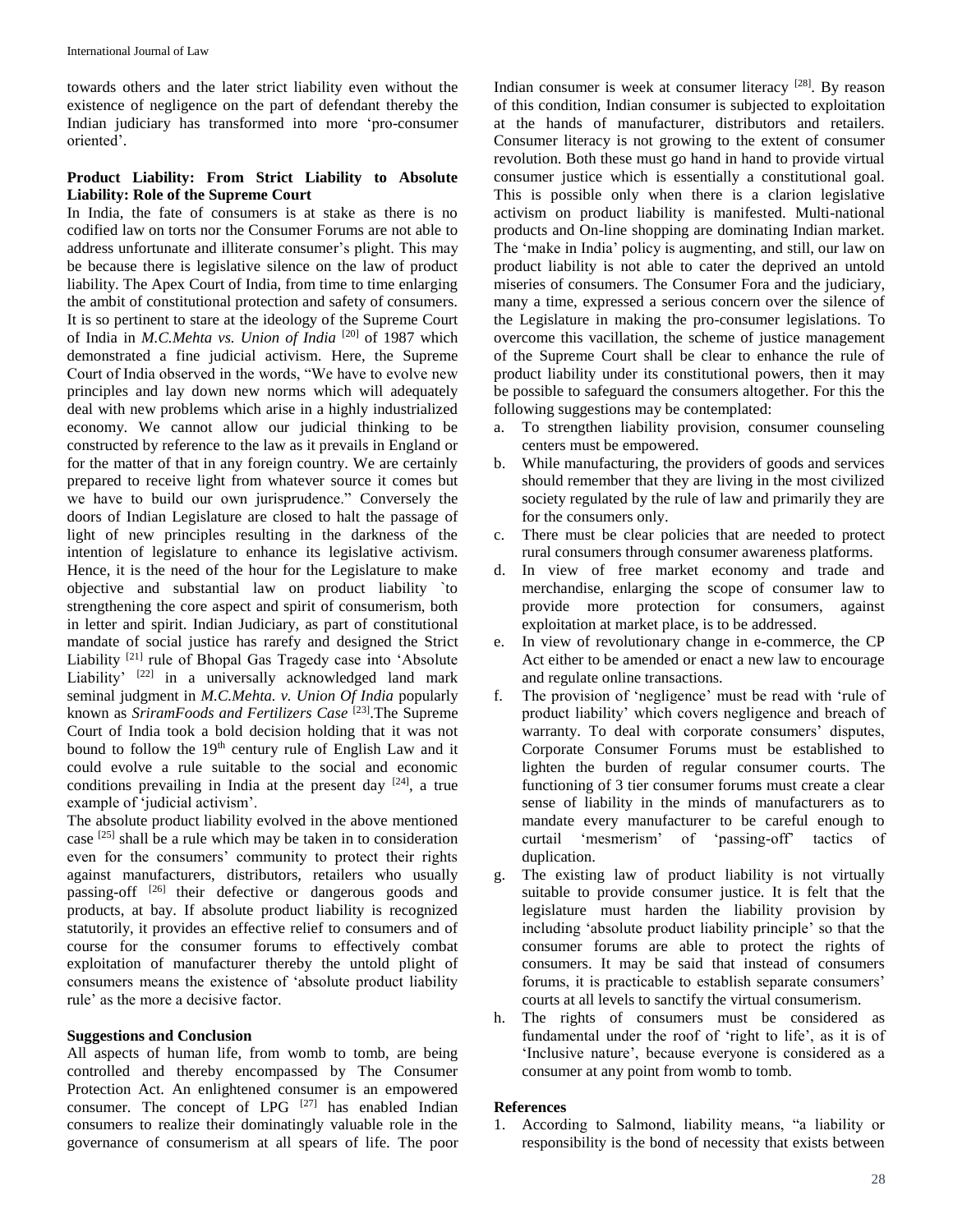towards others and the later strict liability even without the existence of negligence on the part of defendant thereby the Indian judiciary has transformed into more 'pro-consumer oriented'.

## **Product Liability: From Strict Liability to Absolute Liability: Role of the Supreme Court**

In India, the fate of consumers is at stake as there is no codified law on torts nor the Consumer Forums are not able to address unfortunate and illiterate consumer's plight. This may be because there is legislative silence on the law of product liability. The Apex Court of India, from time to time enlarging the ambit of constitutional protection and safety of consumers. It is so pertinent to stare at the ideology of the Supreme Court of India in *M.C.Mehta vs. Union of India* [20] of 1987 which demonstrated a fine judicial activism. Here, the Supreme Court of India observed in the words, "We have to evolve new principles and lay down new norms which will adequately deal with new problems which arise in a highly industrialized economy. We cannot allow our judicial thinking to be constructed by reference to the law as it prevails in England or for the matter of that in any foreign country. We are certainly prepared to receive light from whatever source it comes but we have to build our own jurisprudence." Conversely the doors of Indian Legislature are closed to halt the passage of light of new principles resulting in the darkness of the intention of legislature to enhance its legislative activism. Hence, it is the need of the hour for the Legislature to make objective and substantial law on product liability `to strengthening the core aspect and spirit of consumerism, both in letter and spirit. Indian Judiciary, as part of constitutional mandate of social justice has rarefy and designed the Strict Liability<sup>[21]</sup> rule of Bhopal Gas Tragedy case into 'Absolute Liability<sup>, [22]</sup> in a universally acknowledged land mark seminal judgment in *M.C.Mehta. v. Union Of India* popularly known as *SriramFoods and Fertilizers Case*<sup>[23]</sup>. The Supreme Court of India took a bold decision holding that it was not bound to follow the 19<sup>th</sup> century rule of English Law and it could evolve a rule suitable to the social and economic conditions prevailing in India at the present day  $[24]$ , a true example of 'judicial activism'.

The absolute product liability evolved in the above mentioned case <sup>[25]</sup> shall be a rule which may be taken in to consideration even for the consumers' community to protect their rights against manufacturers, distributors, retailers who usually passing-off <sup>[26]</sup> their defective or dangerous goods and products, at bay. If absolute product liability is recognized statutorily, it provides an effective relief to consumers and of course for the consumer forums to effectively combat exploitation of manufacturer thereby the untold plight of consumers means the existence of 'absolute product liability rule' as the more a decisive factor.

## **Suggestions and Conclusion**

All aspects of human life, from womb to tomb, are being controlled and thereby encompassed by The Consumer Protection Act. An enlightened consumer is an empowered consumer. The concept of LPG <sup>[27]</sup> has enabled Indian consumers to realize their dominatingly valuable role in the governance of consumerism at all spears of life. The poor

Indian consumer is week at consumer literacy<sup>[28]</sup>. By reason of this condition, Indian consumer is subjected to exploitation at the hands of manufacturer, distributors and retailers. Consumer literacy is not growing to the extent of consumer revolution. Both these must go hand in hand to provide virtual consumer justice which is essentially a constitutional goal. This is possible only when there is a clarion legislative activism on product liability is manifested. Multi-national products and On-line shopping are dominating Indian market. The 'make in India' policy is augmenting, and still, our law on product liability is not able to cater the deprived an untold miseries of consumers. The Consumer Fora and the judiciary, many a time, expressed a serious concern over the silence of the Legislature in making the pro-consumer legislations. To overcome this vacillation, the scheme of justice management of the Supreme Court shall be clear to enhance the rule of product liability under its constitutional powers, then it may be possible to safeguard the consumers altogether. For this the following suggestions may be contemplated:

- a. To strengthen liability provision, consumer counseling centers must be empowered.
- b. While manufacturing, the providers of goods and services should remember that they are living in the most civilized society regulated by the rule of law and primarily they are for the consumers only.
- c. There must be clear policies that are needed to protect rural consumers through consumer awareness platforms.
- d. In view of free market economy and trade and merchandise, enlarging the scope of consumer law to provide more protection for consumers, against exploitation at market place, is to be addressed.
- e. In view of revolutionary change in e-commerce, the CP Act either to be amended or enact a new law to encourage and regulate online transactions.
- f. The provision of 'negligence' must be read with 'rule of product liability' which covers negligence and breach of warranty. To deal with corporate consumers' disputes, Corporate Consumer Forums must be established to lighten the burden of regular consumer courts. The functioning of 3 tier consumer forums must create a clear sense of liability in the minds of manufacturers as to mandate every manufacturer to be careful enough to curtail 'mesmerism' of 'passing-off' tactics of duplication.
- g. The existing law of product liability is not virtually suitable to provide consumer justice. It is felt that the legislature must harden the liability provision by including 'absolute product liability principle' so that the consumer forums are able to protect the rights of consumers. It may be said that instead of consumers forums, it is practicable to establish separate consumers' courts at all levels to sanctify the virtual consumerism.
- h. The rights of consumers must be considered as fundamental under the roof of 'right to life', as it is of 'Inclusive nature', because everyone is considered as a consumer at any point from womb to tomb.

#### **References**

1. According to Salmond, liability means, "a liability or responsibility is the bond of necessity that exists between